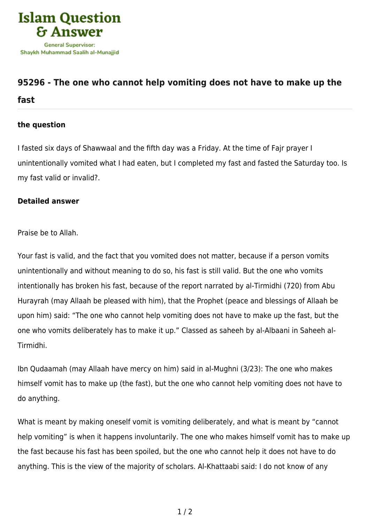

## **[95296 - The one who cannot help vomiting does not have to make up the](https://islamqa.com/en/answers/95296/the-one-who-cannot-help-vomiting-does-not-have-to-make-up-the-fast) [fast](https://islamqa.com/en/answers/95296/the-one-who-cannot-help-vomiting-does-not-have-to-make-up-the-fast)**

## **the question**

I fasted six days of Shawwaal and the fifth day was a Friday. At the time of Fajr prayer I unintentionally vomited what I had eaten, but I completed my fast and fasted the Saturday too. Is my fast valid or invalid?.

## **Detailed answer**

Praise be to Allah.

Your fast is valid, and the fact that you vomited does not matter, because if a person vomits unintentionally and without meaning to do so, his fast is still valid. But the one who vomits intentionally has broken his fast, because of the report narrated by al-Tirmidhi (720) from Abu Hurayrah (may Allaah be pleased with him), that the Prophet (peace and blessings of Allaah be upon him) said: "The one who cannot help vomiting does not have to make up the fast, but the one who vomits deliberately has to make it up." Classed as saheeh by al-Albaani in Saheeh al-Tirmidhi.

Ibn Qudaamah (may Allaah have mercy on him) said in al-Mughni (3/23): The one who makes himself vomit has to make up (the fast), but the one who cannot help vomiting does not have to do anything.

What is meant by making oneself vomit is vomiting deliberately, and what is meant by "cannot help vomiting" is when it happens involuntarily. The one who makes himself vomit has to make up the fast because his fast has been spoiled, but the one who cannot help it does not have to do anything. This is the view of the majority of scholars. Al-Khattaabi said: I do not know of any